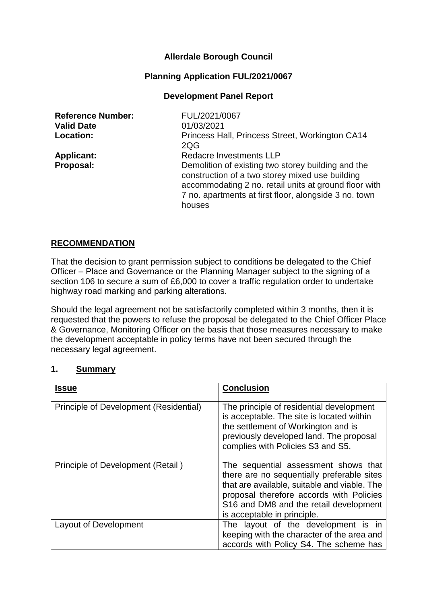# **Allerdale Borough Council**

## **Planning Application FUL/2021/0067**

## **Development Panel Report**

| <b>Reference Number:</b><br><b>Valid Date</b><br>Location: | FUL/2021/0067<br>01/03/2021<br>Princess Hall, Princess Street, Workington CA14<br>2QG                                                                                                                                             |
|------------------------------------------------------------|-----------------------------------------------------------------------------------------------------------------------------------------------------------------------------------------------------------------------------------|
| <b>Applicant:</b>                                          | Redacre Investments LLP                                                                                                                                                                                                           |
| Proposal:                                                  | Demolition of existing two storey building and the<br>construction of a two storey mixed use building<br>accommodating 2 no. retail units at ground floor with<br>7 no. apartments at first floor, alongside 3 no. town<br>houses |

### **RECOMMENDATION**

That the decision to grant permission subject to conditions be delegated to the Chief Officer – Place and Governance or the Planning Manager subject to the signing of a section 106 to secure a sum of £6,000 to cover a traffic regulation order to undertake highway road marking and parking alterations.

Should the legal agreement not be satisfactorily completed within 3 months, then it is requested that the powers to refuse the proposal be delegated to the Chief Officer Place & Governance, Monitoring Officer on the basis that those measures necessary to make the development acceptable in policy terms have not been secured through the necessary legal agreement.

### **1. Summary**

| <b>Issue</b>                           | <b>Conclusion</b>                                                                                                                                                                                                                                       |
|----------------------------------------|---------------------------------------------------------------------------------------------------------------------------------------------------------------------------------------------------------------------------------------------------------|
| Principle of Development (Residential) | The principle of residential development<br>is acceptable. The site is located within<br>the settlement of Workington and is<br>previously developed land. The proposal<br>complies with Policies S3 and S5.                                            |
| Principle of Development (Retail)      | The sequential assessment shows that<br>there are no sequentially preferable sites<br>that are available, suitable and viable. The<br>proposal therefore accords with Policies<br>S16 and DM8 and the retail development<br>is acceptable in principle. |
| Layout of Development                  | The layout of the development is in<br>keeping with the character of the area and<br>accords with Policy S4. The scheme has                                                                                                                             |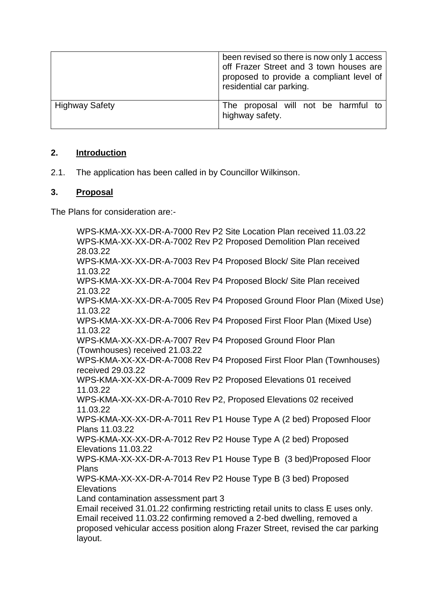|                       | been revised so there is now only 1 access<br>off Frazer Street and 3 town houses are<br>proposed to provide a compliant level of<br>residential car parking. |
|-----------------------|---------------------------------------------------------------------------------------------------------------------------------------------------------------|
| <b>Highway Safety</b> | The proposal will not be harmful to<br>highway safety.                                                                                                        |

# **2. Introduction**

2.1. The application has been called in by Councillor Wilkinson.

## **3. Proposal**

layout.

The Plans for consideration are:-

WPS-KMA-XX-XX-DR-A-7000 Rev P2 Site Location Plan received 11.03.22 WPS-KMA-XX-XX-DR-A-7002 Rev P2 Proposed Demolition Plan received 28.03.22 WPS-KMA-XX-XX-DR-A-7003 Rev P4 Proposed Block/ Site Plan received 11.03.22 WPS-KMA-XX-XX-DR-A-7004 Rev P4 Proposed Block/ Site Plan received 21.03.22 WPS-KMA-XX-XX-DR-A-7005 Rev P4 Proposed Ground Floor Plan (Mixed Use) 11.03.22 WPS-KMA-XX-XX-DR-A-7006 Rev P4 Proposed First Floor Plan (Mixed Use) 11.03.22 WPS-KMA-XX-XX-DR-A-7007 Rev P4 Proposed Ground Floor Plan (Townhouses) received 21.03.22 WPS-KMA-XX-XX-DR-A-7008 Rev P4 Proposed First Floor Plan (Townhouses) received 29.03.22 WPS-KMA-XX-XX-DR-A-7009 Rev P2 Proposed Elevations 01 received 11.03.22 WPS-KMA-XX-XX-DR-A-7010 Rev P2, Proposed Elevations 02 received 11.03.22 WPS-KMA-XX-XX-DR-A-7011 Rev P1 House Type A (2 bed) Proposed Floor Plans 11.03.22 WPS-KMA-XX-XX-DR-A-7012 Rev P2 House Type A (2 bed) Proposed Elevations 11.03.22 WPS-KMA-XX-XX-DR-A-7013 Rev P1 House Type B (3 bed)Proposed Floor Plans WPS-KMA-XX-XX-DR-A-7014 Rev P2 House Type B (3 bed) Proposed **Elevations** Land contamination assessment part 3 Email received 31.01.22 confirming restricting retail units to class E uses only. Email received 11.03.22 confirming removed a 2-bed dwelling, removed a proposed vehicular access position along Frazer Street, revised the car parking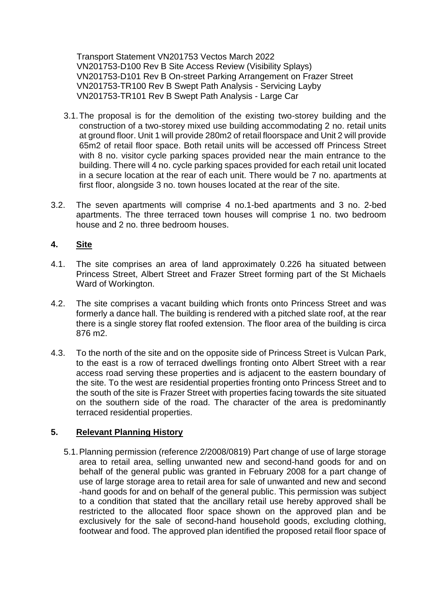Transport Statement VN201753 Vectos March 2022 VN201753-D100 Rev B Site Access Review (Visibility Splays) VN201753-D101 Rev B On-street Parking Arrangement on Frazer Street VN201753-TR100 Rev B Swept Path Analysis - Servicing Layby VN201753-TR101 Rev B Swept Path Analysis - Large Car

- 3.1.The proposal is for the demolition of the existing two-storey building and the construction of a two-storey mixed use building accommodating 2 no. retail units at ground floor. Unit 1 will provide 280m2 of retail floorspace and Unit 2 will provide 65m2 of retail floor space. Both retail units will be accessed off Princess Street with 8 no. visitor cycle parking spaces provided near the main entrance to the building. There will 4 no. cycle parking spaces provided for each retail unit located in a secure location at the rear of each unit. There would be 7 no. apartments at first floor, alongside 3 no. town houses located at the rear of the site.
- 3.2. The seven apartments will comprise 4 no.1-bed apartments and 3 no. 2-bed apartments. The three terraced town houses will comprise 1 no. two bedroom house and 2 no. three bedroom houses.

## **4. Site**

- 4.1. The site comprises an area of land approximately 0.226 ha situated between Princess Street, Albert Street and Frazer Street forming part of the St Michaels Ward of Workington.
- 4.2. The site comprises a vacant building which fronts onto Princess Street and was formerly a dance hall. The building is rendered with a pitched slate roof, at the rear there is a single storey flat roofed extension. The floor area of the building is circa 876 m2.
- 4.3. To the north of the site and on the opposite side of Princess Street is Vulcan Park, to the east is a row of terraced dwellings fronting onto Albert Street with a rear access road serving these properties and is adjacent to the eastern boundary of the site. To the west are residential properties fronting onto Princess Street and to the south of the site is Frazer Street with properties facing towards the site situated on the southern side of the road. The character of the area is predominantly terraced residential properties.

## **5. Relevant Planning History**

5.1.Planning permission (reference 2/2008/0819) Part change of use of large storage area to retail area, selling unwanted new and second-hand goods for and on behalf of the general public was granted in February 2008 for a part change of use of large storage area to retail area for sale of unwanted and new and second -hand goods for and on behalf of the general public. This permission was subject to a condition that stated that the ancillary retail use hereby approved shall be restricted to the allocated floor space shown on the approved plan and be exclusively for the sale of second-hand household goods, excluding clothing, footwear and food. The approved plan identified the proposed retail floor space of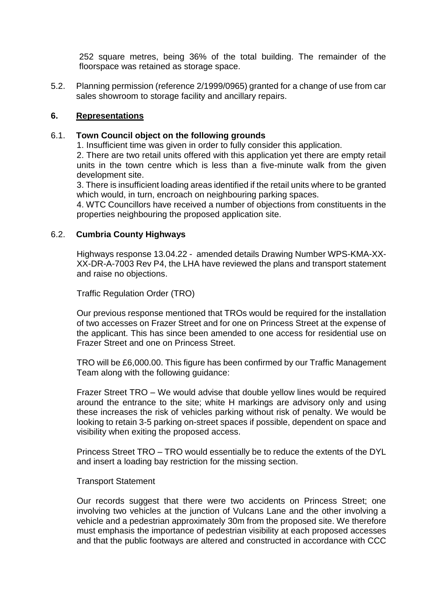252 square metres, being 36% of the total building. The remainder of the floorspace was retained as storage space.

5.2. Planning permission (reference 2/1999/0965) granted for a change of use from car sales showroom to storage facility and ancillary repairs.

## **6. Representations**

## 6.1. **Town Council object on the following grounds**

1. Insufficient time was given in order to fully consider this application.

2. There are two retail units offered with this application yet there are empty retail units in the town centre which is less than a five-minute walk from the given development site.

3. There is insufficient loading areas identified if the retail units where to be granted which would, in turn, encroach on neighbouring parking spaces.

4. WTC Councillors have received a number of objections from constituents in the properties neighbouring the proposed application site.

## 6.2. **Cumbria County Highways**

Highways response 13.04.22 - amended details Drawing Number WPS-KMA-XX-XX-DR-A-7003 Rev P4, the LHA have reviewed the plans and transport statement and raise no objections.

Traffic Regulation Order (TRO)

Our previous response mentioned that TROs would be required for the installation of two accesses on Frazer Street and for one on Princess Street at the expense of the applicant. This has since been amended to one access for residential use on Frazer Street and one on Princess Street.

TRO will be £6,000.00. This figure has been confirmed by our Traffic Management Team along with the following guidance:

Frazer Street TRO – We would advise that double yellow lines would be required around the entrance to the site; white H markings are advisory only and using these increases the risk of vehicles parking without risk of penalty. We would be looking to retain 3-5 parking on-street spaces if possible, dependent on space and visibility when exiting the proposed access.

Princess Street TRO – TRO would essentially be to reduce the extents of the DYL and insert a loading bay restriction for the missing section.

#### Transport Statement

Our records suggest that there were two accidents on Princess Street; one involving two vehicles at the junction of Vulcans Lane and the other involving a vehicle and a pedestrian approximately 30m from the proposed site. We therefore must emphasis the importance of pedestrian visibility at each proposed accesses and that the public footways are altered and constructed in accordance with CCC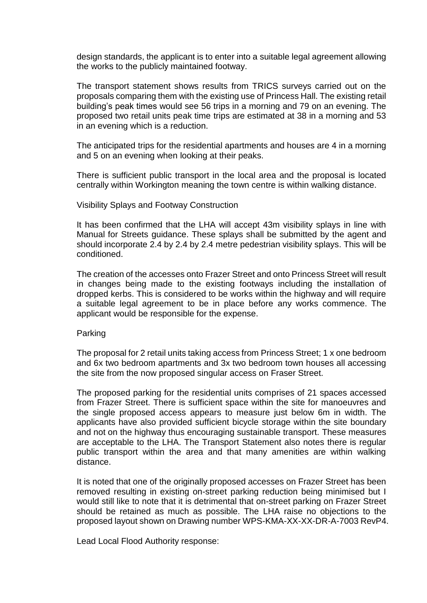design standards, the applicant is to enter into a suitable legal agreement allowing the works to the publicly maintained footway.

The transport statement shows results from TRICS surveys carried out on the proposals comparing them with the existing use of Princess Hall. The existing retail building's peak times would see 56 trips in a morning and 79 on an evening. The proposed two retail units peak time trips are estimated at 38 in a morning and 53 in an evening which is a reduction.

The anticipated trips for the residential apartments and houses are 4 in a morning and 5 on an evening when looking at their peaks.

There is sufficient public transport in the local area and the proposal is located centrally within Workington meaning the town centre is within walking distance.

#### Visibility Splays and Footway Construction

It has been confirmed that the LHA will accept 43m visibility splays in line with Manual for Streets guidance. These splays shall be submitted by the agent and should incorporate 2.4 by 2.4 by 2.4 metre pedestrian visibility splays. This will be conditioned.

The creation of the accesses onto Frazer Street and onto Princess Street will result in changes being made to the existing footways including the installation of dropped kerbs. This is considered to be works within the highway and will require a suitable legal agreement to be in place before any works commence. The applicant would be responsible for the expense.

#### Parking

The proposal for 2 retail units taking access from Princess Street; 1 x one bedroom and 6x two bedroom apartments and 3x two bedroom town houses all accessing the site from the now proposed singular access on Fraser Street.

The proposed parking for the residential units comprises of 21 spaces accessed from Frazer Street. There is sufficient space within the site for manoeuvres and the single proposed access appears to measure just below 6m in width. The applicants have also provided sufficient bicycle storage within the site boundary and not on the highway thus encouraging sustainable transport. These measures are acceptable to the LHA. The Transport Statement also notes there is regular public transport within the area and that many amenities are within walking distance.

It is noted that one of the originally proposed accesses on Frazer Street has been removed resulting in existing on-street parking reduction being minimised but I would still like to note that it is detrimental that on-street parking on Frazer Street should be retained as much as possible. The LHA raise no objections to the proposed layout shown on Drawing number WPS-KMA-XX-XX-DR-A-7003 RevP4.

Lead Local Flood Authority response: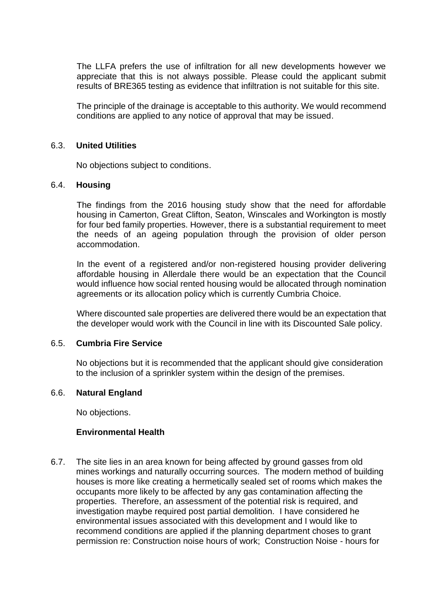The LLFA prefers the use of infiltration for all new developments however we appreciate that this is not always possible. Please could the applicant submit results of BRE365 testing as evidence that infiltration is not suitable for this site.

The principle of the drainage is acceptable to this authority. We would recommend conditions are applied to any notice of approval that may be issued.

## 6.3. **United Utilities**

No objections subject to conditions.

#### 6.4. **Housing**

The findings from the 2016 housing study show that the need for affordable housing in Camerton, Great Clifton, Seaton, Winscales and Workington is mostly for four bed family properties. However, there is a substantial requirement to meet the needs of an ageing population through the provision of older person accommodation.

In the event of a registered and/or non-registered housing provider delivering affordable housing in Allerdale there would be an expectation that the Council would influence how social rented housing would be allocated through nomination agreements or its allocation policy which is currently Cumbria Choice.

Where discounted sale properties are delivered there would be an expectation that the developer would work with the Council in line with its Discounted Sale policy.

## 6.5. **Cumbria Fire Service**

No objections but it is recommended that the applicant should give consideration to the inclusion of a sprinkler system within the design of the premises.

#### 6.6. **Natural England**

No objections.

## **Environmental Health**

6.7. The site lies in an area known for being affected by ground gasses from old mines workings and naturally occurring sources. The modern method of building houses is more like creating a hermetically sealed set of rooms which makes the occupants more likely to be affected by any gas contamination affecting the properties. Therefore, an assessment of the potential risk is required, and investigation maybe required post partial demolition. I have considered he environmental issues associated with this development and I would like to recommend conditions are applied if the planning department choses to grant permission re: Construction noise hours of work; Construction Noise - hours for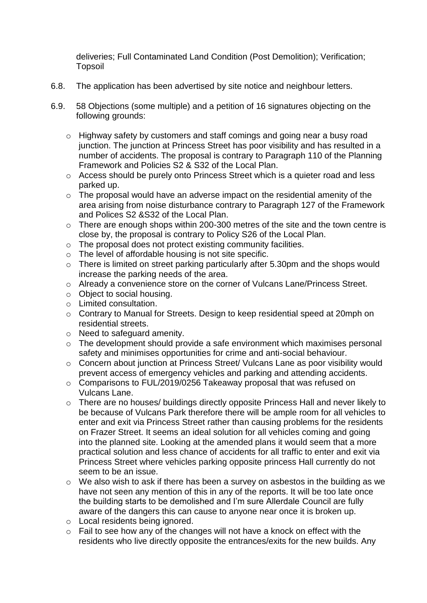deliveries; Full Contaminated Land Condition (Post Demolition); Verification; Topsoil

- 6.8. The application has been advertised by site notice and neighbour letters.
- 6.9. 58 Objections (some multiple) and a petition of 16 signatures objecting on the following grounds:
	- o Highway safety by customers and staff comings and going near a busy road junction. The junction at Princess Street has poor visibility and has resulted in a number of accidents. The proposal is contrary to Paragraph 110 of the Planning Framework and Policies S2 & S32 of the Local Plan.
	- o Access should be purely onto Princess Street which is a quieter road and less parked up.
	- o The proposal would have an adverse impact on the residential amenity of the area arising from noise disturbance contrary to Paragraph 127 of the Framework and Polices S2 &S32 of the Local Plan.
	- o There are enough shops within 200-300 metres of the site and the town centre is close by, the proposal is contrary to Policy S26 of the Local Plan.
	- o The proposal does not protect existing community facilities.
	- o The level of affordable housing is not site specific.
	- o There is limited on street parking particularly after 5.30pm and the shops would increase the parking needs of the area.
	- o Already a convenience store on the corner of Vulcans Lane/Princess Street.
	- o Object to social housing.
	- o Limited consultation.
	- o Contrary to Manual for Streets. Design to keep residential speed at 20mph on residential streets.
	- o Need to safeguard amenity.
	- o The development should provide a safe environment which maximises personal safety and minimises opportunities for crime and anti-social behaviour.
	- o Concern about junction at Princess Street/ Vulcans Lane as poor visibility would prevent access of emergency vehicles and parking and attending accidents.
	- o Comparisons to FUL/2019/0256 Takeaway proposal that was refused on Vulcans Lane.
	- o There are no houses/ buildings directly opposite Princess Hall and never likely to be because of Vulcans Park therefore there will be ample room for all vehicles to enter and exit via Princess Street rather than causing problems for the residents on Frazer Street. It seems an ideal solution for all vehicles coming and going into the planned site. Looking at the amended plans it would seem that a more practical solution and less chance of accidents for all traffic to enter and exit via Princess Street where vehicles parking opposite princess Hall currently do not seem to be an issue.
	- o We also wish to ask if there has been a survey on asbestos in the building as we have not seen any mention of this in any of the reports. It will be too late once the building starts to be demolished and I'm sure Allerdale Council are fully aware of the dangers this can cause to anyone near once it is broken up.
	- o Local residents being ignored.
	- o Fail to see how any of the changes will not have a knock on effect with the residents who live directly opposite the entrances/exits for the new builds. Any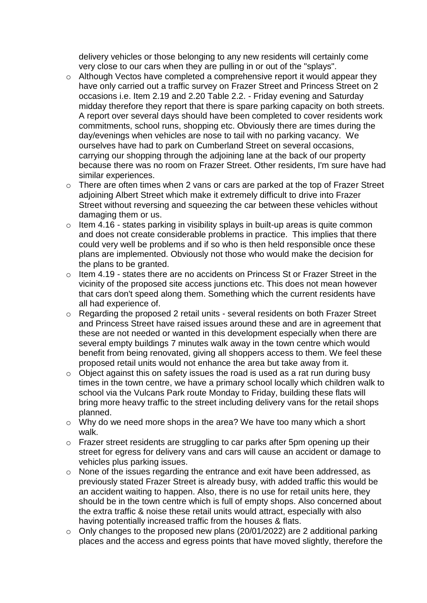delivery vehicles or those belonging to any new residents will certainly come very close to our cars when they are pulling in or out of the "splays".

- o Although Vectos have completed a comprehensive report it would appear they have only carried out a traffic survey on Frazer Street and Princess Street on 2 occasions i.e. Item 2.19 and 2.20 Table 2.2. - Friday evening and Saturday midday therefore they report that there is spare parking capacity on both streets. A report over several days should have been completed to cover residents work commitments, school runs, shopping etc. Obviously there are times during the day/evenings when vehicles are nose to tail with no parking vacancy. We ourselves have had to park on Cumberland Street on several occasions, carrying our shopping through the adjoining lane at the back of our property because there was no room on Frazer Street. Other residents, I'm sure have had similar experiences.
- o There are often times when 2 vans or cars are parked at the top of Frazer Street adjoining Albert Street which make it extremely difficult to drive into Frazer Street without reversing and squeezing the car between these vehicles without damaging them or us.
- $\circ$  Item 4.16 states parking in visibility splays in built-up areas is quite common and does not create considerable problems in practice. This implies that there could very well be problems and if so who is then held responsible once these plans are implemented. Obviously not those who would make the decision for the plans to be granted.
- o Item 4.19 states there are no accidents on Princess St or Frazer Street in the vicinity of the proposed site access junctions etc. This does not mean however that cars don't speed along them. Something which the current residents have all had experience of.
- o Regarding the proposed 2 retail units several residents on both Frazer Street and Princess Street have raised issues around these and are in agreement that these are not needed or wanted in this development especially when there are several empty buildings 7 minutes walk away in the town centre which would benefit from being renovated, giving all shoppers access to them. We feel these proposed retail units would not enhance the area but take away from it.
- o Object against this on safety issues the road is used as a rat run during busy times in the town centre, we have a primary school locally which children walk to school via the Vulcans Park route Monday to Friday, building these flats will bring more heavy traffic to the street including delivery vans for the retail shops planned.
- o Why do we need more shops in the area? We have too many which a short walk.
- o Frazer street residents are struggling to car parks after 5pm opening up their street for egress for delivery vans and cars will cause an accident or damage to vehicles plus parking issues.
- o None of the issues regarding the entrance and exit have been addressed, as previously stated Frazer Street is already busy, with added traffic this would be an accident waiting to happen. Also, there is no use for retail units here, they should be in the town centre which is full of empty shops. Also concerned about the extra traffic & noise these retail units would attract, especially with also having potentially increased traffic from the houses & flats.
- o Only changes to the proposed new plans (20/01/2022) are 2 additional parking places and the access and egress points that have moved slightly, therefore the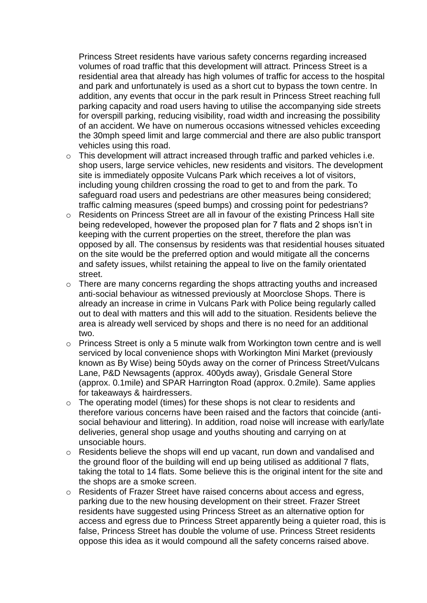Princess Street residents have various safety concerns regarding increased volumes of road traffic that this development will attract. Princess Street is a residential area that already has high volumes of traffic for access to the hospital and park and unfortunately is used as a short cut to bypass the town centre. In addition, any events that occur in the park result in Princess Street reaching full parking capacity and road users having to utilise the accompanying side streets for overspill parking, reducing visibility, road width and increasing the possibility of an accident. We have on numerous occasions witnessed vehicles exceeding the 30mph speed limit and large commercial and there are also public transport vehicles using this road.

- o This development will attract increased through traffic and parked vehicles i.e. shop users, large service vehicles, new residents and visitors. The development site is immediately opposite Vulcans Park which receives a lot of visitors, including young children crossing the road to get to and from the park. To safeguard road users and pedestrians are other measures being considered; traffic calming measures (speed bumps) and crossing point for pedestrians?
- o Residents on Princess Street are all in favour of the existing Princess Hall site being redeveloped, however the proposed plan for 7 flats and 2 shops isn't in keeping with the current properties on the street, therefore the plan was opposed by all. The consensus by residents was that residential houses situated on the site would be the preferred option and would mitigate all the concerns and safety issues, whilst retaining the appeal to live on the family orientated street.
- o There are many concerns regarding the shops attracting youths and increased anti-social behaviour as witnessed previously at Moorclose Shops. There is already an increase in crime in Vulcans Park with Police being regularly called out to deal with matters and this will add to the situation. Residents believe the area is already well serviced by shops and there is no need for an additional two.
- o Princess Street is only a 5 minute walk from Workington town centre and is well serviced by local convenience shops with Workington Mini Market (previously known as By Wise) being 50yds away on the corner of Princess Street/Vulcans Lane, P&D Newsagents (approx. 400yds away), Grisdale General Store (approx. 0.1mile) and SPAR Harrington Road (approx. 0.2mile). Same applies for takeaways & hairdressers.
- o The operating model (times) for these shops is not clear to residents and therefore various concerns have been raised and the factors that coincide (antisocial behaviour and littering). In addition, road noise will increase with early/late deliveries, general shop usage and youths shouting and carrying on at unsociable hours.
- o Residents believe the shops will end up vacant, run down and vandalised and the ground floor of the building will end up being utilised as additional 7 flats, taking the total to 14 flats. Some believe this is the original intent for the site and the shops are a smoke screen.
- o Residents of Frazer Street have raised concerns about access and egress, parking due to the new housing development on their street. Frazer Street residents have suggested using Princess Street as an alternative option for access and egress due to Princess Street apparently being a quieter road, this is false, Princess Street has double the volume of use. Princess Street residents oppose this idea as it would compound all the safety concerns raised above.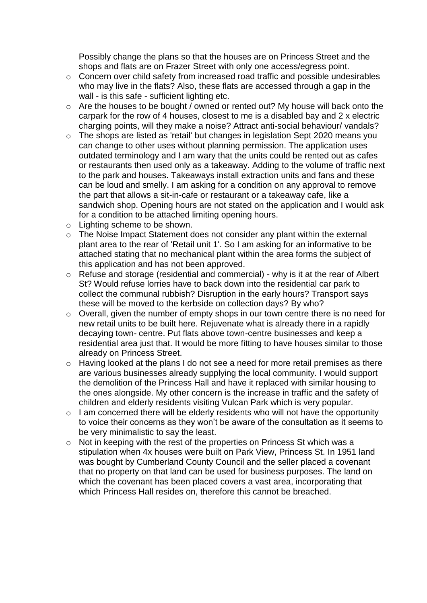Possibly change the plans so that the houses are on Princess Street and the shops and flats are on Frazer Street with only one access/egress point.

- o Concern over child safety from increased road traffic and possible undesirables who may live in the flats? Also, these flats are accessed through a gap in the wall - is this safe - sufficient lighting etc.
- $\circ$  Are the houses to be bought / owned or rented out? My house will back onto the carpark for the row of 4 houses, closest to me is a disabled bay and 2 x electric charging points, will they make a noise? Attract anti-social behaviour/ vandals?
- o The shops are listed as 'retail' but changes in legislation Sept 2020 means you can change to other uses without planning permission. The application uses outdated terminology and I am wary that the units could be rented out as cafes or restaurants then used only as a takeaway. Adding to the volume of traffic next to the park and houses. Takeaways install extraction units and fans and these can be loud and smelly. I am asking for a condition on any approval to remove the part that allows a sit-in-cafe or restaurant or a takeaway cafe, like a sandwich shop. Opening hours are not stated on the application and I would ask for a condition to be attached limiting opening hours.
- o Lighting scheme to be shown.
- o The Noise Impact Statement does not consider any plant within the external plant area to the rear of 'Retail unit 1'. So I am asking for an informative to be attached stating that no mechanical plant within the area forms the subject of this application and has not been approved.
- o Refuse and storage (residential and commercial) why is it at the rear of Albert St? Would refuse lorries have to back down into the residential car park to collect the communal rubbish? Disruption in the early hours? Transport says these will be moved to the kerbside on collection days? By who?
- o Overall, given the number of empty shops in our town centre there is no need for new retail units to be built here. Rejuvenate what is already there in a rapidly decaying town- centre. Put flats above town-centre businesses and keep a residential area just that. It would be more fitting to have houses similar to those already on Princess Street.
- o Having looked at the plans I do not see a need for more retail premises as there are various businesses already supplying the local community. I would support the demolition of the Princess Hall and have it replaced with similar housing to the ones alongside. My other concern is the increase in traffic and the safety of children and elderly residents visiting Vulcan Park which is very popular.
- $\circ$  I am concerned there will be elderly residents who will not have the opportunity to voice their concerns as they won't be aware of the consultation as it seems to be very minimalistic to say the least.
- o Not in keeping with the rest of the properties on Princess St which was a stipulation when 4x houses were built on Park View, Princess St. In 1951 land was bought by Cumberland County Council and the seller placed a covenant that no property on that land can be used for business purposes. The land on which the covenant has been placed covers a vast area, incorporating that which Princess Hall resides on, therefore this cannot be breached.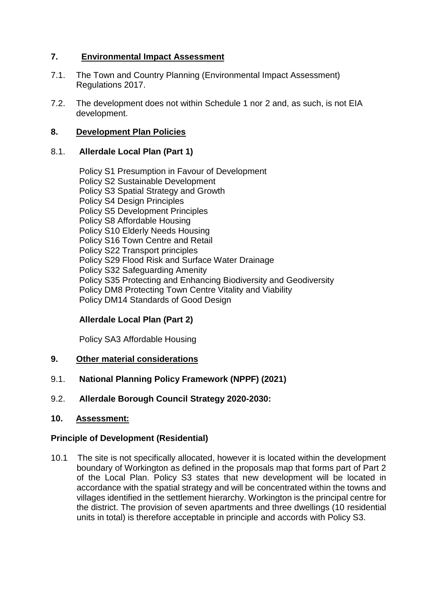# **7. Environmental Impact Assessment**

- 7.1. The Town and Country Planning (Environmental Impact Assessment) Regulations 2017.
- 7.2. The development does not within Schedule 1 nor 2 and, as such, is not EIA development.

## **8. Development Plan Policies**

## 8.1. **Allerdale Local Plan (Part 1)**

Policy S1 Presumption in Favour of Development Policy S2 Sustainable Development Policy S3 Spatial Strategy and Growth Policy S4 Design Principles Policy S5 Development Principles Policy S8 Affordable Housing Policy S10 Elderly Needs Housing Policy S16 Town Centre and Retail Policy S22 Transport principles Policy S29 Flood Risk and Surface Water Drainage Policy S32 Safeguarding Amenity Policy S35 Protecting and Enhancing Biodiversity and Geodiversity Policy DM8 Protecting Town Centre Vitality and Viability Policy DM14 Standards of Good Design

# **Allerdale Local Plan (Part 2)**

Policy SA3 Affordable Housing

## **9. Other material considerations**

- 9.1. **National Planning Policy Framework (NPPF) (2021)**
- 9.2. **Allerdale Borough Council Strategy 2020-2030:**
- **10. Assessment:**

## **Principle of Development (Residential)**

10.1 The site is not specifically allocated, however it is located within the development boundary of Workington as defined in the proposals map that forms part of Part 2 of the Local Plan. Policy S3 states that new development will be located in accordance with the spatial strategy and will be concentrated within the towns and villages identified in the settlement hierarchy. Workington is the principal centre for the district. The provision of seven apartments and three dwellings (10 residential units in total) is therefore acceptable in principle and accords with Policy S3.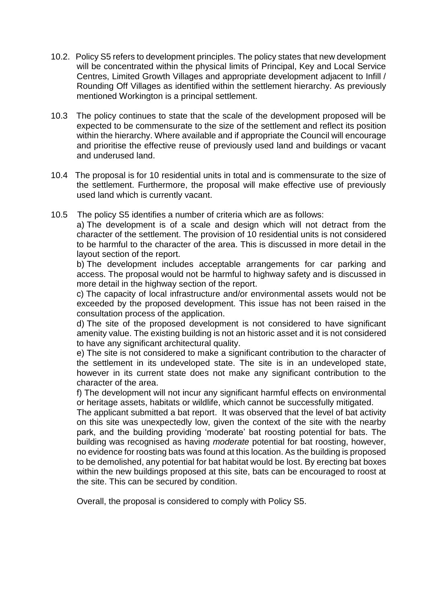- 10.2. Policy S5 refers to development principles. The policy states that new development will be concentrated within the physical limits of Principal, Key and Local Service Centres, Limited Growth Villages and appropriate development adjacent to Infill / Rounding Off Villages as identified within the settlement hierarchy. As previously mentioned Workington is a principal settlement.
- 10.3 The policy continues to state that the scale of the development proposed will be expected to be commensurate to the size of the settlement and reflect its position within the hierarchy. Where available and if appropriate the Council will encourage and prioritise the effective reuse of previously used land and buildings or vacant and underused land.
- 10.4 The proposal is for 10 residential units in total and is commensurate to the size of the settlement. Furthermore, the proposal will make effective use of previously used land which is currently vacant.
- 10.5 The policy S5 identifies a number of criteria which are as follows:

a) The development is of a scale and design which will not detract from the character of the settlement. The provision of 10 residential units is not considered to be harmful to the character of the area. This is discussed in more detail in the layout section of the report.

b) The development includes acceptable arrangements for car parking and access. The proposal would not be harmful to highway safety and is discussed in more detail in the highway section of the report.

c) The capacity of local infrastructure and/or environmental assets would not be exceeded by the proposed development. This issue has not been raised in the consultation process of the application.

d) The site of the proposed development is not considered to have significant amenity value. The existing building is not an historic asset and it is not considered to have any significant architectural quality.

e) The site is not considered to make a significant contribution to the character of the settlement in its undeveloped state. The site is in an undeveloped state, however in its current state does not make any significant contribution to the character of the area.

f) The development will not incur any significant harmful effects on environmental or heritage assets, habitats or wildlife, which cannot be successfully mitigated.

The applicant submitted a bat report. It was observed that the level of bat activity on this site was unexpectedly low, given the context of the site with the nearby park, and the building providing 'moderate' bat roosting potential for bats. The building was recognised as having *moderate* potential for bat roosting, however, no evidence for roosting bats was found at this location. As the building is proposed to be demolished, any potential for bat habitat would be lost. By erecting bat boxes within the new buildings proposed at this site, bats can be encouraged to roost at the site. This can be secured by condition.

Overall, the proposal is considered to comply with Policy S5.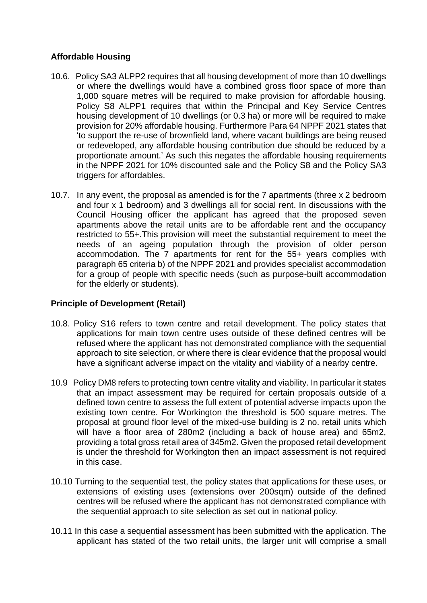## **Affordable Housing**

- 10.6. Policy SA3 ALPP2 requires that all housing development of more than 10 dwellings or where the dwellings would have a combined gross floor space of more than 1,000 square metres will be required to make provision for affordable housing. Policy S8 ALPP1 requires that within the Principal and Key Service Centres housing development of 10 dwellings (or 0.3 ha) or more will be required to make provision for 20% affordable housing. Furthermore Para 64 NPPF 2021 states that 'to support the re-use of brownfield land, where vacant buildings are being reused or redeveloped, any affordable housing contribution due should be reduced by a proportionate amount.' As such this negates the affordable housing requirements in the NPPF 2021 for 10% discounted sale and the Policy S8 and the Policy SA3 triggers for affordables.
- 10.7. In any event, the proposal as amended is for the 7 apartments (three x 2 bedroom and four x 1 bedroom) and 3 dwellings all for social rent. In discussions with the Council Housing officer the applicant has agreed that the proposed seven apartments above the retail units are to be affordable rent and the occupancy restricted to 55+.This provision will meet the substantial requirement to meet the needs of an ageing population through the provision of older person accommodation. The 7 apartments for rent for the 55+ years complies with paragraph 65 criteria b) of the NPPF 2021 and provides specialist accommodation for a group of people with specific needs (such as purpose-built accommodation for the elderly or students).

# **Principle of Development (Retail)**

- 10.8. Policy S16 refers to town centre and retail development. The policy states that applications for main town centre uses outside of these defined centres will be refused where the applicant has not demonstrated compliance with the sequential approach to site selection, or where there is clear evidence that the proposal would have a significant adverse impact on the vitality and viability of a nearby centre.
- 10.9 Policy DM8 refers to protecting town centre vitality and viability. In particular it states that an impact assessment may be required for certain proposals outside of a defined town centre to assess the full extent of potential adverse impacts upon the existing town centre. For Workington the threshold is 500 square metres. The proposal at ground floor level of the mixed-use building is 2 no. retail units which will have a floor area of 280m2 (including a back of house area) and 65m2, providing a total gross retail area of 345m2. Given the proposed retail development is under the threshold for Workington then an impact assessment is not required in this case.
- 10.10 Turning to the sequential test, the policy states that applications for these uses, or extensions of existing uses (extensions over 200sqm) outside of the defined centres will be refused where the applicant has not demonstrated compliance with the sequential approach to site selection as set out in national policy.
- 10.11 In this case a sequential assessment has been submitted with the application. The applicant has stated of the two retail units, the larger unit will comprise a small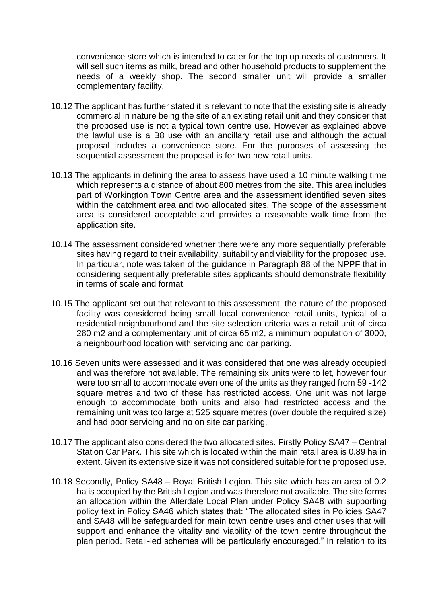convenience store which is intended to cater for the top up needs of customers. It will sell such items as milk, bread and other household products to supplement the needs of a weekly shop. The second smaller unit will provide a smaller complementary facility.

- 10.12 The applicant has further stated it is relevant to note that the existing site is already commercial in nature being the site of an existing retail unit and they consider that the proposed use is not a typical town centre use. However as explained above the lawful use is a B8 use with an ancillary retail use and although the actual proposal includes a convenience store. For the purposes of assessing the sequential assessment the proposal is for two new retail units.
- 10.13 The applicants in defining the area to assess have used a 10 minute walking time which represents a distance of about 800 metres from the site. This area includes part of Workington Town Centre area and the assessment identified seven sites within the catchment area and two allocated sites. The scope of the assessment area is considered acceptable and provides a reasonable walk time from the application site.
- 10.14 The assessment considered whether there were any more sequentially preferable sites having regard to their availability, suitability and viability for the proposed use. In particular, note was taken of the guidance in Paragraph 88 of the NPPF that in considering sequentially preferable sites applicants should demonstrate flexibility in terms of scale and format.
- 10.15 The applicant set out that relevant to this assessment, the nature of the proposed facility was considered being small local convenience retail units, typical of a residential neighbourhood and the site selection criteria was a retail unit of circa 280 m2 and a complementary unit of circa 65 m2, a minimum population of 3000, a neighbourhood location with servicing and car parking.
- 10.16 Seven units were assessed and it was considered that one was already occupied and was therefore not available. The remaining six units were to let, however four were too small to accommodate even one of the units as they ranged from 59 -142 square metres and two of these has restricted access. One unit was not large enough to accommodate both units and also had restricted access and the remaining unit was too large at 525 square metres (over double the required size) and had poor servicing and no on site car parking.
- 10.17 The applicant also considered the two allocated sites. Firstly Policy SA47 Central Station Car Park. This site which is located within the main retail area is 0.89 ha in extent. Given its extensive size it was not considered suitable for the proposed use.
- 10.18 Secondly, Policy SA48 Royal British Legion. This site which has an area of 0.2 ha is occupied by the British Legion and was therefore not available. The site forms an allocation within the Allerdale Local Plan under Policy SA48 with supporting policy text in Policy SA46 which states that: "The allocated sites in Policies SA47 and SA48 will be safeguarded for main town centre uses and other uses that will support and enhance the vitality and viability of the town centre throughout the plan period. Retail-led schemes will be particularly encouraged." In relation to its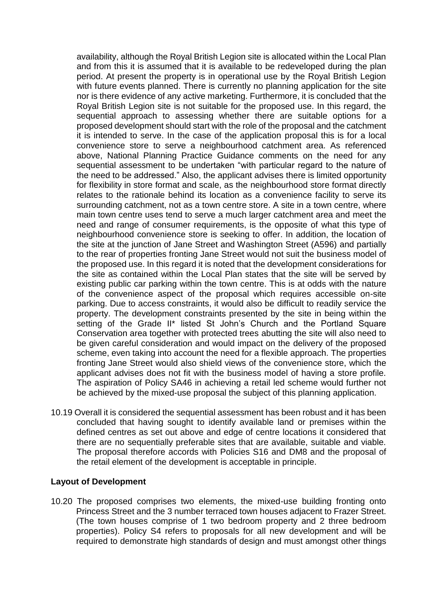availability, although the Royal British Legion site is allocated within the Local Plan and from this it is assumed that it is available to be redeveloped during the plan period. At present the property is in operational use by the Royal British Legion with future events planned. There is currently no planning application for the site nor is there evidence of any active marketing. Furthermore, it is concluded that the Royal British Legion site is not suitable for the proposed use. In this regard, the sequential approach to assessing whether there are suitable options for a proposed development should start with the role of the proposal and the catchment it is intended to serve. In the case of the application proposal this is for a local convenience store to serve a neighbourhood catchment area. As referenced above, National Planning Practice Guidance comments on the need for any sequential assessment to be undertaken "with particular regard to the nature of the need to be addressed." Also, the applicant advises there is limited opportunity for flexibility in store format and scale, as the neighbourhood store format directly relates to the rationale behind its location as a convenience facility to serve its surrounding catchment, not as a town centre store. A site in a town centre, where main town centre uses tend to serve a much larger catchment area and meet the need and range of consumer requirements, is the opposite of what this type of neighbourhood convenience store is seeking to offer. In addition, the location of the site at the junction of Jane Street and Washington Street (A596) and partially to the rear of properties fronting Jane Street would not suit the business model of the proposed use. In this regard it is noted that the development considerations for the site as contained within the Local Plan states that the site will be served by existing public car parking within the town centre. This is at odds with the nature of the convenience aspect of the proposal which requires accessible on-site parking. Due to access constraints, it would also be difficult to readily service the property. The development constraints presented by the site in being within the setting of the Grade II<sup>\*</sup> listed St John's Church and the Portland Square Conservation area together with protected trees abutting the site will also need to be given careful consideration and would impact on the delivery of the proposed scheme, even taking into account the need for a flexible approach. The properties fronting Jane Street would also shield views of the convenience store, which the applicant advises does not fit with the business model of having a store profile. The aspiration of Policy SA46 in achieving a retail led scheme would further not be achieved by the mixed-use proposal the subject of this planning application.

10.19 Overall it is considered the sequential assessment has been robust and it has been concluded that having sought to identify available land or premises within the defined centres as set out above and edge of centre locations it considered that there are no sequentially preferable sites that are available, suitable and viable. The proposal therefore accords with Policies S16 and DM8 and the proposal of the retail element of the development is acceptable in principle.

#### **Layout of Development**

10.20 The proposed comprises two elements, the mixed-use building fronting onto Princess Street and the 3 number terraced town houses adjacent to Frazer Street. (The town houses comprise of 1 two bedroom property and 2 three bedroom properties). Policy S4 refers to proposals for all new development and will be required to demonstrate high standards of design and must amongst other things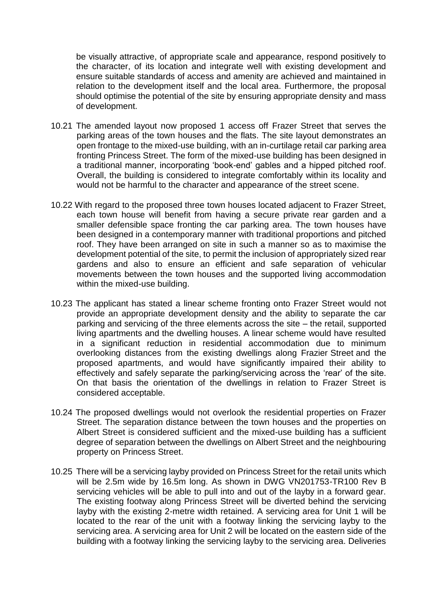be visually attractive, of appropriate scale and appearance, respond positively to the character, of its location and integrate well with existing development and ensure suitable standards of access and amenity are achieved and maintained in relation to the development itself and the local area. Furthermore, the proposal should optimise the potential of the site by ensuring appropriate density and mass of development.

- 10.21 The amended layout now proposed 1 access off Frazer Street that serves the parking areas of the town houses and the flats. The site layout demonstrates an open frontage to the mixed-use building, with an in-curtilage retail car parking area fronting Princess Street. The form of the mixed-use building has been designed in a traditional manner, incorporating 'book-end' gables and a hipped pitched roof. Overall, the building is considered to integrate comfortably within its locality and would not be harmful to the character and appearance of the street scene.
- 10.22 With regard to the proposed three town houses located adjacent to Frazer Street, each town house will benefit from having a secure private rear garden and a smaller defensible space fronting the car parking area. The town houses have been designed in a contemporary manner with traditional proportions and pitched roof. They have been arranged on site in such a manner so as to maximise the development potential of the site, to permit the inclusion of appropriately sized rear gardens and also to ensure an efficient and safe separation of vehicular movements between the town houses and the supported living accommodation within the mixed-use building.
- 10.23 The applicant has stated a linear scheme fronting onto Frazer Street would not provide an appropriate development density and the ability to separate the car parking and servicing of the three elements across the site – the retail, supported living apartments and the dwelling houses. A linear scheme would have resulted in a significant reduction in residential accommodation due to minimum overlooking distances from the existing dwellings along Frazier Street and the proposed apartments, and would have significantly impaired their ability to effectively and safely separate the parking/servicing across the 'rear' of the site. On that basis the orientation of the dwellings in relation to Frazer Street is considered acceptable.
- 10.24 The proposed dwellings would not overlook the residential properties on Frazer Street. The separation distance between the town houses and the properties on Albert Street is considered sufficient and the mixed-use building has a sufficient degree of separation between the dwellings on Albert Street and the neighbouring property on Princess Street.
- 10.25 There will be a servicing layby provided on Princess Street for the retail units which will be 2.5m wide by 16.5m long. As shown in DWG VN201753-TR100 Rev B servicing vehicles will be able to pull into and out of the layby in a forward gear. The existing footway along Princess Street will be diverted behind the servicing layby with the existing 2-metre width retained. A servicing area for Unit 1 will be located to the rear of the unit with a footway linking the servicing layby to the servicing area. A servicing area for Unit 2 will be located on the eastern side of the building with a footway linking the servicing layby to the servicing area. Deliveries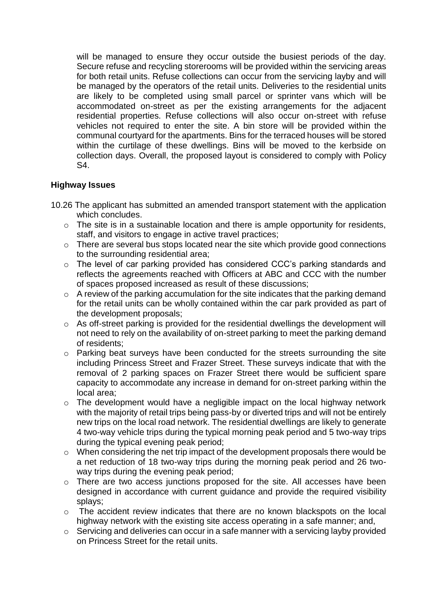will be managed to ensure they occur outside the busiest periods of the day. Secure refuse and recycling storerooms will be provided within the servicing areas for both retail units. Refuse collections can occur from the servicing layby and will be managed by the operators of the retail units. Deliveries to the residential units are likely to be completed using small parcel or sprinter vans which will be accommodated on-street as per the existing arrangements for the adjacent residential properties. Refuse collections will also occur on-street with refuse vehicles not required to enter the site. A bin store will be provided within the communal courtyard for the apartments. Bins for the terraced houses will be stored within the curtilage of these dwellings. Bins will be moved to the kerbside on collection days. Overall, the proposed layout is considered to comply with Policy S4.

# **Highway Issues**

- 10.26 The applicant has submitted an amended transport statement with the application which concludes.
	- $\circ$  The site is in a sustainable location and there is ample opportunity for residents, staff, and visitors to engage in active travel practices;
	- o There are several bus stops located near the site which provide good connections to the surrounding residential area;
	- o The level of car parking provided has considered CCC's parking standards and reflects the agreements reached with Officers at ABC and CCC with the number of spaces proposed increased as result of these discussions;
	- o A review of the parking accumulation for the site indicates that the parking demand for the retail units can be wholly contained within the car park provided as part of the development proposals;
	- o As off-street parking is provided for the residential dwellings the development will not need to rely on the availability of on-street parking to meet the parking demand of residents;
	- o Parking beat surveys have been conducted for the streets surrounding the site including Princess Street and Frazer Street. These surveys indicate that with the removal of 2 parking spaces on Frazer Street there would be sufficient spare capacity to accommodate any increase in demand for on-street parking within the local area;
	- $\circ$  The development would have a negligible impact on the local highway network with the majority of retail trips being pass-by or diverted trips and will not be entirely new trips on the local road network. The residential dwellings are likely to generate 4 two-way vehicle trips during the typical morning peak period and 5 two-way trips during the typical evening peak period;
	- o When considering the net trip impact of the development proposals there would be a net reduction of 18 two-way trips during the morning peak period and 26 twoway trips during the evening peak period;
	- o There are two access junctions proposed for the site. All accesses have been designed in accordance with current guidance and provide the required visibility splays;
	- o The accident review indicates that there are no known blackspots on the local highway network with the existing site access operating in a safe manner; and,
	- $\circ$  Servicing and deliveries can occur in a safe manner with a servicing layby provided on Princess Street for the retail units.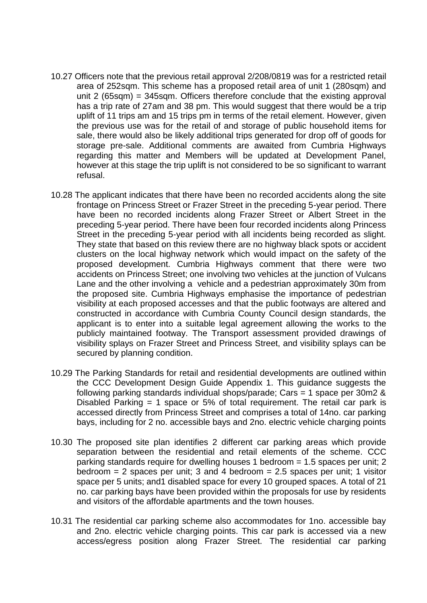- 10.27 Officers note that the previous retail approval 2/208/0819 was for a restricted retail area of 252sqm. This scheme has a proposed retail area of unit 1 (280sqm) and unit 2 (65sqm) = 345sqm. Officers therefore conclude that the existing approval has a trip rate of 27am and 38 pm. This would suggest that there would be a trip uplift of 11 trips am and 15 trips pm in terms of the retail element. However, given the previous use was for the retail of and storage of public household items for sale, there would also be likely additional trips generated for drop off of goods for storage pre-sale. Additional comments are awaited from Cumbria Highways regarding this matter and Members will be updated at Development Panel, however at this stage the trip uplift is not considered to be so significant to warrant refusal.
- 10.28 The applicant indicates that there have been no recorded accidents along the site frontage on Princess Street or Frazer Street in the preceding 5-year period. There have been no recorded incidents along Frazer Street or Albert Street in the preceding 5-year period. There have been four recorded incidents along Princess Street in the preceding 5-year period with all incidents being recorded as slight. They state that based on this review there are no highway black spots or accident clusters on the local highway network which would impact on the safety of the proposed development. Cumbria Highways comment that there were two accidents on Princess Street; one involving two vehicles at the junction of Vulcans Lane and the other involving a vehicle and a pedestrian approximately 30m from the proposed site. Cumbria Highways emphasise the importance of pedestrian visibility at each proposed accesses and that the public footways are altered and constructed in accordance with Cumbria County Council design standards, the applicant is to enter into a suitable legal agreement allowing the works to the publicly maintained footway. The Transport assessment provided drawings of visibility splays on Frazer Street and Princess Street, and visibility splays can be secured by planning condition.
- 10.29 The Parking Standards for retail and residential developments are outlined within the CCC Development Design Guide Appendix 1. This guidance suggests the following parking standards individual shops/parade; Cars = 1 space per 30m2 & Disabled Parking  $= 1$  space or 5% of total requirement. The retail car park is accessed directly from Princess Street and comprises a total of 14no. car parking bays, including for 2 no. accessible bays and 2no. electric vehicle charging points
- 10.30 The proposed site plan identifies 2 different car parking areas which provide separation between the residential and retail elements of the scheme. CCC parking standards require for dwelling houses 1 bedroom = 1.5 spaces per unit; 2 bedroom  $= 2$  spaces per unit; 3 and 4 bedroom  $= 2.5$  spaces per unit; 1 visitor space per 5 units; and1 disabled space for every 10 grouped spaces. A total of 21 no. car parking bays have been provided within the proposals for use by residents and visitors of the affordable apartments and the town houses.
- 10.31 The residential car parking scheme also accommodates for 1no. accessible bay and 2no. electric vehicle charging points. This car park is accessed via a new access/egress position along Frazer Street. The residential car parking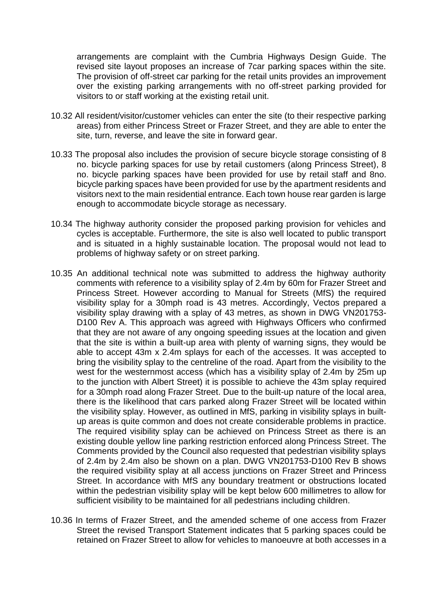arrangements are complaint with the Cumbria Highways Design Guide. The revised site layout proposes an increase of 7car parking spaces within the site. The provision of off-street car parking for the retail units provides an improvement over the existing parking arrangements with no off-street parking provided for visitors to or staff working at the existing retail unit.

- 10.32 All resident/visitor/customer vehicles can enter the site (to their respective parking areas) from either Princess Street or Frazer Street, and they are able to enter the site, turn, reverse, and leave the site in forward gear.
- 10.33 The proposal also includes the provision of secure bicycle storage consisting of 8 no. bicycle parking spaces for use by retail customers (along Princess Street), 8 no. bicycle parking spaces have been provided for use by retail staff and 8no. bicycle parking spaces have been provided for use by the apartment residents and visitors next to the main residential entrance. Each town house rear garden is large enough to accommodate bicycle storage as necessary.
- 10.34 The highway authority consider the proposed parking provision for vehicles and cycles is acceptable. Furthermore, the site is also well located to public transport and is situated in a highly sustainable location. The proposal would not lead to problems of highway safety or on street parking.
- 10.35 An additional technical note was submitted to address the highway authority comments with reference to a visibility splay of 2.4m by 60m for Frazer Street and Princess Street. However according to Manual for Streets (MfS) the required visibility splay for a 30mph road is 43 metres. Accordingly, Vectos prepared a visibility splay drawing with a splay of 43 metres, as shown in DWG VN201753- D100 Rev A. This approach was agreed with Highways Officers who confirmed that they are not aware of any ongoing speeding issues at the location and given that the site is within a built-up area with plenty of warning signs, they would be able to accept 43m x 2.4m splays for each of the accesses. It was accepted to bring the visibility splay to the centreline of the road. Apart from the visibility to the west for the westernmost access (which has a visibility splay of 2.4m by 25m up to the junction with Albert Street) it is possible to achieve the 43m splay required for a 30mph road along Frazer Street. Due to the built-up nature of the local area, there is the likelihood that cars parked along Frazer Street will be located within the visibility splay. However, as outlined in MfS, parking in visibility splays in builtup areas is quite common and does not create considerable problems in practice. The required visibility splay can be achieved on Princess Street as there is an existing double yellow line parking restriction enforced along Princess Street. The Comments provided by the Council also requested that pedestrian visibility splays of 2.4m by 2.4m also be shown on a plan. DWG VN201753-D100 Rev B shows the required visibility splay at all access junctions on Frazer Street and Princess Street. In accordance with MfS any boundary treatment or obstructions located within the pedestrian visibility splay will be kept below 600 millimetres to allow for sufficient visibility to be maintained for all pedestrians including children.
- 10.36 In terms of Frazer Street, and the amended scheme of one access from Frazer Street the revised Transport Statement indicates that 5 parking spaces could be retained on Frazer Street to allow for vehicles to manoeuvre at both accesses in a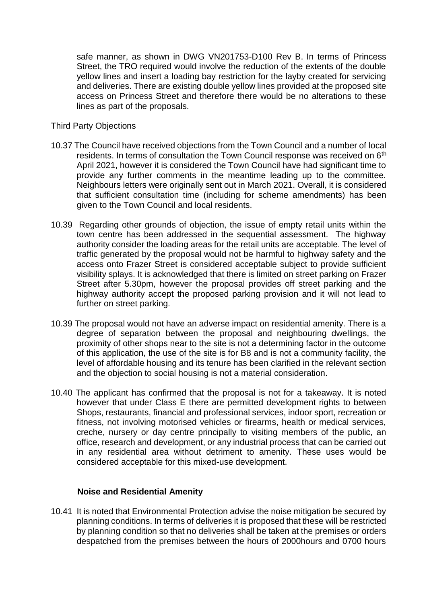safe manner, as shown in DWG VN201753-D100 Rev B. In terms of Princess Street, the TRO required would involve the reduction of the extents of the double yellow lines and insert a loading bay restriction for the layby created for servicing and deliveries. There are existing double yellow lines provided at the proposed site access on Princess Street and therefore there would be no alterations to these lines as part of the proposals.

### Third Party Objections

- 10.37 The Council have received objections from the Town Council and a number of local residents. In terms of consultation the Town Council response was received on 6<sup>th</sup> April 2021, however it is considered the Town Council have had significant time to provide any further comments in the meantime leading up to the committee. Neighbours letters were originally sent out in March 2021. Overall, it is considered that sufficient consultation time (including for scheme amendments) has been given to the Town Council and local residents.
- 10.39 Regarding other grounds of objection, the issue of empty retail units within the town centre has been addressed in the sequential assessment. The highway authority consider the loading areas for the retail units are acceptable. The level of traffic generated by the proposal would not be harmful to highway safety and the access onto Frazer Street is considered acceptable subject to provide sufficient visibility splays. It is acknowledged that there is limited on street parking on Frazer Street after 5.30pm, however the proposal provides off street parking and the highway authority accept the proposed parking provision and it will not lead to further on street parking.
- 10.39 The proposal would not have an adverse impact on residential amenity. There is a degree of separation between the proposal and neighbouring dwellings, the proximity of other shops near to the site is not a determining factor in the outcome of this application, the use of the site is for B8 and is not a community facility, the level of affordable housing and its tenure has been clarified in the relevant section and the objection to social housing is not a material consideration.
- 10.40 The applicant has confirmed that the proposal is not for a takeaway. It is noted however that under Class E there are permitted development rights to between Shops, restaurants, financial and professional services, indoor sport, recreation or fitness, not involving motorised vehicles or firearms, health or medical services, creche, nursery or day centre principally to visiting members of the public, an office, research and development, or any industrial process that can be carried out in any residential area without detriment to amenity. These uses would be considered acceptable for this mixed-use development.

## **Noise and Residential Amenity**

10.41 It is noted that Environmental Protection advise the noise mitigation be secured by planning conditions. In terms of deliveries it is proposed that these will be restricted by planning condition so that no deliveries shall be taken at the premises or orders despatched from the premises between the hours of 2000hours and 0700 hours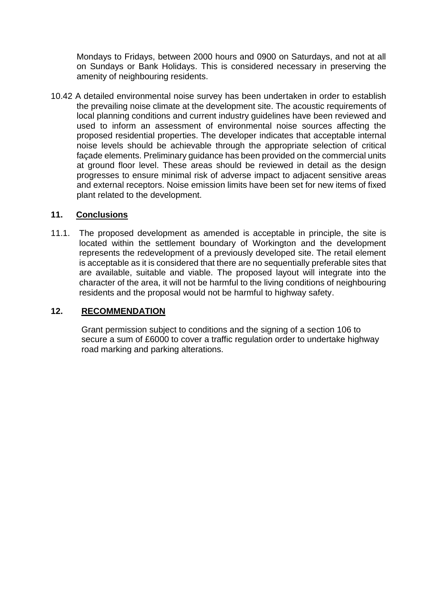Mondays to Fridays, between 2000 hours and 0900 on Saturdays, and not at all on Sundays or Bank Holidays. This is considered necessary in preserving the amenity of neighbouring residents.

10.42 A detailed environmental noise survey has been undertaken in order to establish the prevailing noise climate at the development site. The acoustic requirements of local planning conditions and current industry guidelines have been reviewed and used to inform an assessment of environmental noise sources affecting the proposed residential properties. The developer indicates that acceptable internal noise levels should be achievable through the appropriate selection of critical façade elements. Preliminary guidance has been provided on the commercial units at ground floor level. These areas should be reviewed in detail as the design progresses to ensure minimal risk of adverse impact to adjacent sensitive areas and external receptors. Noise emission limits have been set for new items of fixed plant related to the development.

## **11. Conclusions**

11.1. The proposed development as amended is acceptable in principle, the site is located within the settlement boundary of Workington and the development represents the redevelopment of a previously developed site. The retail element is acceptable as it is considered that there are no sequentially preferable sites that are available, suitable and viable. The proposed layout will integrate into the character of the area, it will not be harmful to the living conditions of neighbouring residents and the proposal would not be harmful to highway safety.

# **12. RECOMMENDATION**

Grant permission subject to conditions and the signing of a section 106 to secure a sum of £6000 to cover a traffic regulation order to undertake highway road marking and parking alterations.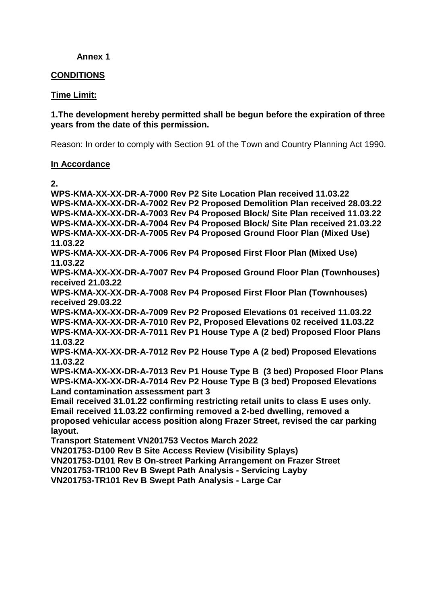## **Annex 1**

## **CONDITIONS**

## **Time Limit:**

## **1.The development hereby permitted shall be begun before the expiration of three years from the date of this permission.**

Reason: In order to comply with Section 91 of the Town and Country Planning Act 1990.

## **In Accordance**

**2.** 

**WPS-KMA-XX-XX-DR-A-7000 Rev P2 Site Location Plan received 11.03.22 WPS-KMA-XX-XX-DR-A-7002 Rev P2 Proposed Demolition Plan received 28.03.22 WPS-KMA-XX-XX-DR-A-7003 Rev P4 Proposed Block/ Site Plan received 11.03.22 WPS-KMA-XX-XX-DR-A-7004 Rev P4 Proposed Block/ Site Plan received 21.03.22 WPS-KMA-XX-XX-DR-A-7005 Rev P4 Proposed Ground Floor Plan (Mixed Use) 11.03.22 WPS-KMA-XX-XX-DR-A-7006 Rev P4 Proposed First Floor Plan (Mixed Use) 11.03.22 WPS-KMA-XX-XX-DR-A-7007 Rev P4 Proposed Ground Floor Plan (Townhouses) received 21.03.22 WPS-KMA-XX-XX-DR-A-7008 Rev P4 Proposed First Floor Plan (Townhouses) received 29.03.22 WPS-KMA-XX-XX-DR-A-7009 Rev P2 Proposed Elevations 01 received 11.03.22 WPS-KMA-XX-XX-DR-A-7010 Rev P2, Proposed Elevations 02 received 11.03.22 WPS-KMA-XX-XX-DR-A-7011 Rev P1 House Type A (2 bed) Proposed Floor Plans 11.03.22 WPS-KMA-XX-XX-DR-A-7012 Rev P2 House Type A (2 bed) Proposed Elevations 11.03.22 WPS-KMA-XX-XX-DR-A-7013 Rev P1 House Type B (3 bed) Proposed Floor Plans WPS-KMA-XX-XX-DR-A-7014 Rev P2 House Type B (3 bed) Proposed Elevations Land contamination assessment part 3 Email received 31.01.22 confirming restricting retail units to class E uses only. Email received 11.03.22 confirming removed a 2-bed dwelling, removed a proposed vehicular access position along Frazer Street, revised the car parking layout. Transport Statement VN201753 Vectos March 2022 VN201753-D100 Rev B Site Access Review (Visibility Splays)**

**VN201753-D101 Rev B On-street Parking Arrangement on Frazer Street**

**VN201753-TR100 Rev B Swept Path Analysis - Servicing Layby**

**VN201753-TR101 Rev B Swept Path Analysis - Large Car**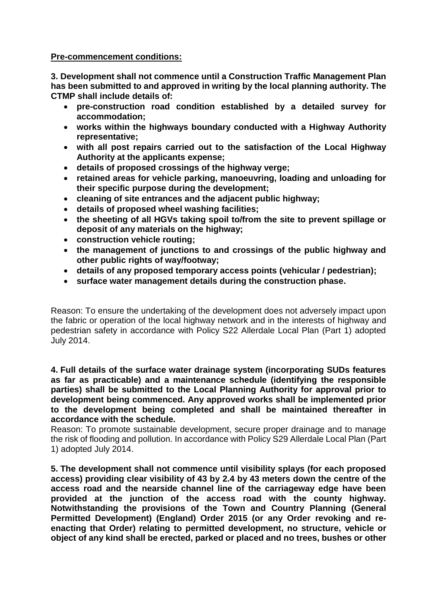**Pre-commencement conditions:**

**3. Development shall not commence until a Construction Traffic Management Plan has been submitted to and approved in writing by the local planning authority. The CTMP shall include details of:**

- **pre-construction road condition established by a detailed survey for accommodation;**
- **works within the highways boundary conducted with a Highway Authority representative;**
- **with all post repairs carried out to the satisfaction of the Local Highway Authority at the applicants expense;**
- **details of proposed crossings of the highway verge;**
- **retained areas for vehicle parking, manoeuvring, loading and unloading for their specific purpose during the development;**
- **cleaning of site entrances and the adjacent public highway;**
- **details of proposed wheel washing facilities;**
- **the sheeting of all HGVs taking spoil to/from the site to prevent spillage or deposit of any materials on the highway;**
- **construction vehicle routing;**
- **the management of junctions to and crossings of the public highway and other public rights of way/footway;**
- **details of any proposed temporary access points (vehicular / pedestrian);**
- **surface water management details during the construction phase.**

Reason: To ensure the undertaking of the development does not adversely impact upon the fabric or operation of the local highway network and in the interests of highway and pedestrian safety in accordance with Policy S22 Allerdale Local Plan (Part 1) adopted July 2014.

**4. Full details of the surface water drainage system (incorporating SUDs features as far as practicable) and a maintenance schedule (identifying the responsible parties) shall be submitted to the Local Planning Authority for approval prior to development being commenced. Any approved works shall be implemented prior to the development being completed and shall be maintained thereafter in accordance with the schedule.**

Reason: To promote sustainable development, secure proper drainage and to manage the risk of flooding and pollution. In accordance with Policy S29 Allerdale Local Plan (Part 1) adopted July 2014.

**5. The development shall not commence until visibility splays (for each proposed access) providing clear visibility of 43 by 2.4 by 43 meters down the centre of the access road and the nearside channel line of the carriageway edge have been provided at the junction of the access road with the county highway. Notwithstanding the provisions of the Town and Country Planning (General Permitted Development) (England) Order 2015 (or any Order revoking and reenacting that Order) relating to permitted development, no structure, vehicle or object of any kind shall be erected, parked or placed and no trees, bushes or other**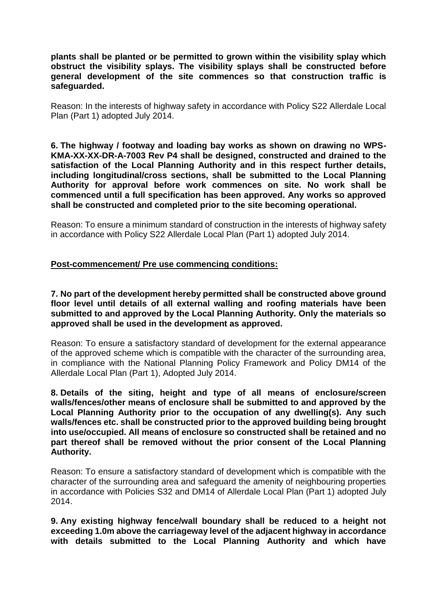**plants shall be planted or be permitted to grown within the visibility splay which obstruct the visibility splays. The visibility splays shall be constructed before general development of the site commences so that construction traffic is safeguarded.**

Reason: In the interests of highway safety in accordance with Policy S22 Allerdale Local Plan (Part 1) adopted July 2014.

**6. The highway / footway and loading bay works as shown on drawing no WPS-KMA-XX-XX-DR-A-7003 Rev P4 shall be designed, constructed and drained to the satisfaction of the Local Planning Authority and in this respect further details, including longitudinal/cross sections, shall be submitted to the Local Planning Authority for approval before work commences on site. No work shall be commenced until a full specification has been approved. Any works so approved shall be constructed and completed prior to the site becoming operational.**

Reason: To ensure a minimum standard of construction in the interests of highway safety in accordance with Policy S22 Allerdale Local Plan (Part 1) adopted July 2014.

## **Post-commencement/ Pre use commencing conditions:**

**7. No part of the development hereby permitted shall be constructed above ground floor level until details of all external walling and roofing materials have been submitted to and approved by the Local Planning Authority. Only the materials so approved shall be used in the development as approved.**

Reason: To ensure a satisfactory standard of development for the external appearance of the approved scheme which is compatible with the character of the surrounding area, in compliance with the National Planning Policy Framework and Policy DM14 of the Allerdale Local Plan (Part 1), Adopted July 2014.

**8. Details of the siting, height and type of all means of enclosure/screen walls/fences/other means of enclosure shall be submitted to and approved by the Local Planning Authority prior to the occupation of any dwelling(s). Any such walls/fences etc. shall be constructed prior to the approved building being brought into use/occupied. All means of enclosure so constructed shall be retained and no part thereof shall be removed without the prior consent of the Local Planning Authority.**

Reason: To ensure a satisfactory standard of development which is compatible with the character of the surrounding area and safeguard the amenity of neighbouring properties in accordance with Policies S32 and DM14 of Allerdale Local Plan (Part 1) adopted July 2014.

**9. Any existing highway fence/wall boundary shall be reduced to a height not exceeding 1.0m above the carriageway level of the adjacent highway in accordance with details submitted to the Local Planning Authority and which have**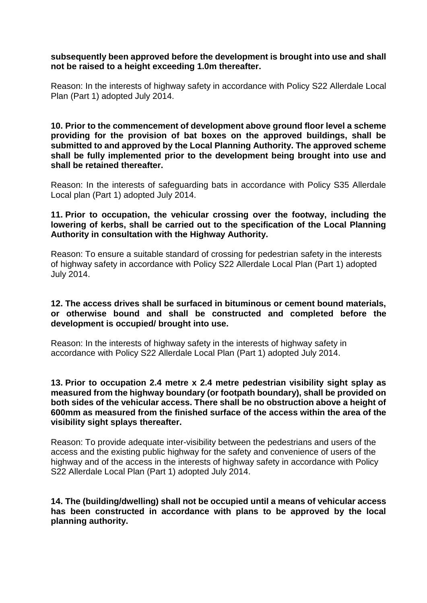### **subsequently been approved before the development is brought into use and shall not be raised to a height exceeding 1.0m thereafter.**

Reason: In the interests of highway safety in accordance with Policy S22 Allerdale Local Plan (Part 1) adopted July 2014.

**10. Prior to the commencement of development above ground floor level a scheme providing for the provision of bat boxes on the approved buildings, shall be submitted to and approved by the Local Planning Authority. The approved scheme shall be fully implemented prior to the development being brought into use and shall be retained thereafter.**

Reason: In the interests of safeguarding bats in accordance with Policy S35 Allerdale Local plan (Part 1) adopted July 2014.

## **11. Prior to occupation, the vehicular crossing over the footway, including the lowering of kerbs, shall be carried out to the specification of the Local Planning Authority in consultation with the Highway Authority.**

Reason: To ensure a suitable standard of crossing for pedestrian safety in the interests of highway safety in accordance with Policy S22 Allerdale Local Plan (Part 1) adopted July 2014.

## **12. The access drives shall be surfaced in bituminous or cement bound materials, or otherwise bound and shall be constructed and completed before the development is occupied/ brought into use.**

Reason: In the interests of highway safety in the interests of highway safety in accordance with Policy S22 Allerdale Local Plan (Part 1) adopted July 2014.

## **13. Prior to occupation 2.4 metre x 2.4 metre pedestrian visibility sight splay as measured from the highway boundary (or footpath boundary), shall be provided on both sides of the vehicular access. There shall be no obstruction above a height of 600mm as measured from the finished surface of the access within the area of the visibility sight splays thereafter.**

Reason: To provide adequate inter-visibility between the pedestrians and users of the access and the existing public highway for the safety and convenience of users of the highway and of the access in the interests of highway safety in accordance with Policy S22 Allerdale Local Plan (Part 1) adopted July 2014.

**14. The (building/dwelling) shall not be occupied until a means of vehicular access has been constructed in accordance with plans to be approved by the local planning authority.**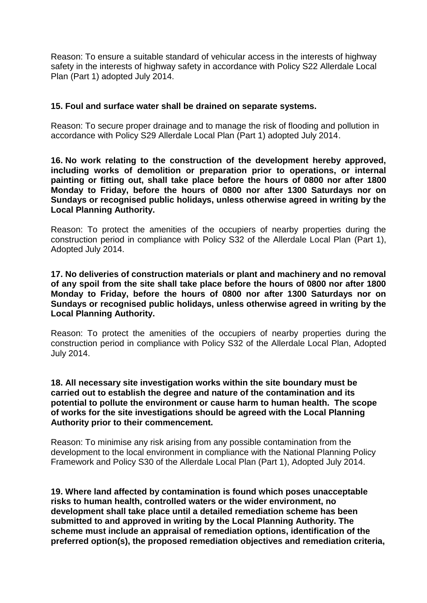Reason: To ensure a suitable standard of vehicular access in the interests of highway safety in the interests of highway safety in accordance with Policy S22 Allerdale Local Plan (Part 1) adopted July 2014.

## **15. Foul and surface water shall be drained on separate systems.**

Reason: To secure proper drainage and to manage the risk of flooding and pollution in accordance with Policy S29 Allerdale Local Plan (Part 1) adopted July 2014.

**16. No work relating to the construction of the development hereby approved, including works of demolition or preparation prior to operations, or internal painting or fitting out, shall take place before the hours of 0800 nor after 1800 Monday to Friday, before the hours of 0800 nor after 1300 Saturdays nor on Sundays or recognised public holidays, unless otherwise agreed in writing by the Local Planning Authority.** 

Reason: To protect the amenities of the occupiers of nearby properties during the construction period in compliance with Policy S32 of the Allerdale Local Plan (Part 1), Adopted July 2014.

**17. No deliveries of construction materials or plant and machinery and no removal of any spoil from the site shall take place before the hours of 0800 nor after 1800 Monday to Friday, before the hours of 0800 nor after 1300 Saturdays nor on Sundays or recognised public holidays, unless otherwise agreed in writing by the Local Planning Authority.** 

Reason: To protect the amenities of the occupiers of nearby properties during the construction period in compliance with Policy S32 of the Allerdale Local Plan, Adopted July 2014.

**18. All necessary site investigation works within the site boundary must be carried out to establish the degree and nature of the contamination and its potential to pollute the environment or cause harm to human health. The scope of works for the site investigations should be agreed with the Local Planning Authority prior to their commencement.**

Reason: To minimise any risk arising from any possible contamination from the development to the local environment in compliance with the National Planning Policy Framework and Policy S30 of the Allerdale Local Plan (Part 1), Adopted July 2014.

**19. Where land affected by contamination is found which poses unacceptable risks to human health, controlled waters or the wider environment, no development shall take place until a detailed remediation scheme has been submitted to and approved in writing by the Local Planning Authority. The scheme must include an appraisal of remediation options, identification of the preferred option(s), the proposed remediation objectives and remediation criteria,**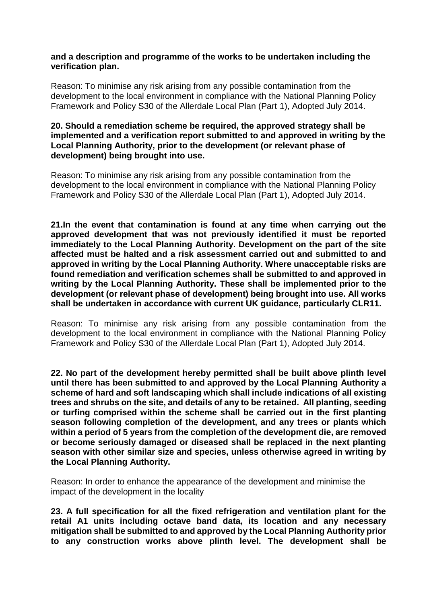### **and a description and programme of the works to be undertaken including the verification plan.**

Reason: To minimise any risk arising from any possible contamination from the development to the local environment in compliance with the National Planning Policy Framework and Policy S30 of the Allerdale Local Plan (Part 1), Adopted July 2014.

## **20. Should a remediation scheme be required, the approved strategy shall be implemented and a verification report submitted to and approved in writing by the Local Planning Authority, prior to the development (or relevant phase of development) being brought into use.**

Reason: To minimise any risk arising from any possible contamination from the development to the local environment in compliance with the National Planning Policy Framework and Policy S30 of the Allerdale Local Plan (Part 1), Adopted July 2014.

**21.In the event that contamination is found at any time when carrying out the approved development that was not previously identified it must be reported immediately to the Local Planning Authority. Development on the part of the site affected must be halted and a risk assessment carried out and submitted to and approved in writing by the Local Planning Authority. Where unacceptable risks are found remediation and verification schemes shall be submitted to and approved in writing by the Local Planning Authority. These shall be implemented prior to the development (or relevant phase of development) being brought into use. All works shall be undertaken in accordance with current UK guidance, particularly CLR11.**

Reason: To minimise any risk arising from any possible contamination from the development to the local environment in compliance with the National Planning Policy Framework and Policy S30 of the Allerdale Local Plan (Part 1), Adopted July 2014.

**22. No part of the development hereby permitted shall be built above plinth level until there has been submitted to and approved by the Local Planning Authority a scheme of hard and soft landscaping which shall include indications of all existing trees and shrubs on the site, and details of any to be retained. All planting, seeding or turfing comprised within the scheme shall be carried out in the first planting season following completion of the development, and any trees or plants which within a period of 5 years from the completion of the development die, are removed or become seriously damaged or diseased shall be replaced in the next planting season with other similar size and species, unless otherwise agreed in writing by the Local Planning Authority.**

Reason: In order to enhance the appearance of the development and minimise the impact of the development in the locality

**23. A full specification for all the fixed refrigeration and ventilation plant for the retail A1 units including octave band data, its location and any necessary mitigation shall be submitted to and approved by the Local Planning Authority prior to any construction works above plinth level. The development shall be**